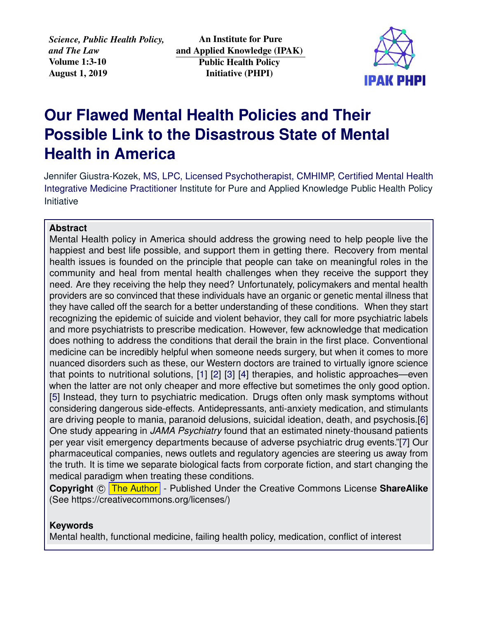*Science, Public Health Policy, and The Law* Volume 1:3-10 August 1, 2019

An Institute for Pure and Applied Knowledge (IPAK) Public Health Policy Initiative (PHPI)



# **Our Flawed Mental Health Policies and Their Possible Link to the Disastrous State of Mental Health in America**

[Jennifer Giustra-Kozek,](https://www.healingwithouthurting.com/) MS, LPC, Licensed Psychotherapist, CMHIMP, Certified Mental Health Integrative Medicine Practitioner [Institute for Pure and Applied Knowledge Public Health Policy](https://jameslyonsweiler.com/ ) [Initiative](https://jameslyonsweiler.com/ )

# **Abstract**

Mental Health policy in America should address the growing need to help people live the happiest and best life possible, and support them in getting there. Recovery from mental health issues is founded on the principle that people can take on meaningful roles in the community and heal from mental health challenges when they receive the support they need. Are they receiving the help they need? Unfortunately, policymakers and mental health providers are so convinced that these individuals have an organic or genetic mental illness that they have called off the search for a better understanding of these conditions. When they start recognizing the epidemic of suicide and violent behavior, they call for more psychiatric labels and more psychiatrists to prescribe medication. However, few acknowledge that medication does nothing to address the conditions that derail the brain in the first place. Conventional medicine can be incredibly helpful when someone needs surgery, but when it comes to more nuanced disorders such as these, our Western doctors are trained to virtually ignore science that points to nutritional solutions, [\[1\]](#page-5-0) [\[2\]](#page-5-1) [\[3\]](#page-5-2) [\[4\]](#page-5-3) therapies, and holistic approaches—even when the latter are not only cheaper and more effective but sometimes the only good option. [\[5\]](#page-5-4) Instead, they turn to psychiatric medication. Drugs often only mask symptoms without considering dangerous side-effects. Antidepressants, anti-anxiety medication, and stimulants are driving people to mania, paranoid delusions, suicidal ideation, death, and psychosis.[\[6\]](#page-5-5) One study appearing in *JAMA Psychiatry* found that an estimated ninety-thousand patients per year visit emergency departments because of adverse psychiatric drug events."[\[7\]](#page-5-6) Our pharmaceutical companies, news outlets and regulatory agencies are steering us away from the truth. It is time we separate biological facts from corporate fiction, and start changing the medical paradigm when treating these conditions.

**Copyright** © [The Author]( https://ipaknowledge.org ) - Published Under the Creative Commons License ShareAlike (See https://creativecommons.org/licenses/)

# **Keywords**

Mental health, functional medicine, failing health policy, medication, conflict of interest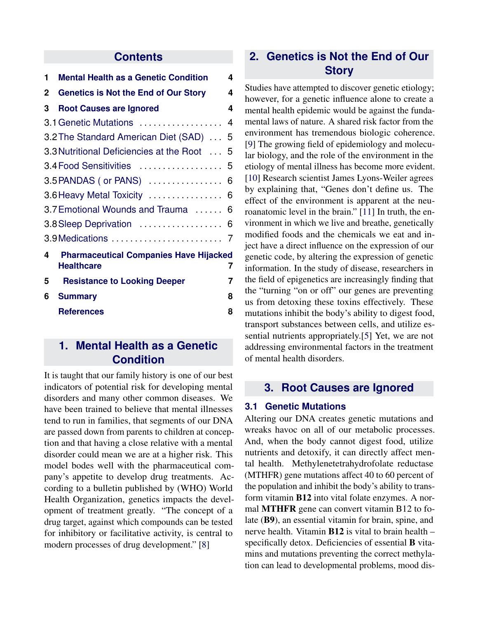## **Contents**

| 1 | <b>Mental Health as a Genetic Condition</b>                        | 4 |
|---|--------------------------------------------------------------------|---|
| 2 | <b>Genetics is Not the End of Our Story</b>                        | 4 |
| 3 | <b>Root Causes are Ignored</b>                                     | 4 |
|   | 3.1 Genetic Mutations                                              | 4 |
|   | 3.2 The Standard American Diet (SAD)  5                            |   |
|   | 3.3 Nutritional Deficiencies at the Root  5                        |   |
|   | 3.4 Food Sensitivities  5                                          |   |
|   | 3.5 PANDAS (or PANS)  6                                            |   |
|   |                                                                    |   |
|   | 3.7 Emotional Wounds and Trauma  6                                 |   |
|   |                                                                    |   |
|   |                                                                    |   |
| 4 | <b>Pharmaceutical Companies Have Hijacked</b><br><b>Healthcare</b> | 7 |
| 5 | <b>Resistance to Looking Deeper</b>                                | 7 |
| 6 | <b>Summary</b>                                                     | 8 |
|   | <b>References</b>                                                  | 8 |

# <span id="page-1-0"></span>**1. Mental Health as a Genetic Condition**

<span id="page-1-1"></span>It is taught that our family history is one of our best indicators of potential risk for developing mental disorders and many other common diseases. We have been trained to believe that mental illnesses tend to run in families, that segments of our DNA are passed down from parents to children at conception and that having a close relative with a mental disorder could mean we are at a higher risk. This model bodes well with the pharmaceutical company's appetite to develop drug treatments. According to a bulletin published by (WHO) World Health Organization, genetics impacts the development of treatment greatly. "The concept of a drug target, against which compounds can be tested for inhibitory or facilitative activity, is central to modern processes of drug development." [\[8\]](#page-6-0)

# **2. Genetics is Not the End of Our Story**

Studies have attempted to discover genetic etiology; however, for a genetic influence alone to create a mental health epidemic would be against the fundamental laws of nature. A shared risk factor from the environment has tremendous biologic coherence. [\[9\]](#page-6-1) The growing field of epidemiology and molecular biology, and the role of the environment in the etiology of mental illness has become more evident. [\[10\]](#page-6-2) Research scientist James Lyons-Weiler agrees by explaining that, "Genes don't define us. The effect of the environment is apparent at the neuroanatomic level in the brain." [\[11\]](#page-6-3) In truth, the environment in which we live and breathe, genetically modified foods and the chemicals we eat and inject have a direct influence on the expression of our genetic code, by altering the expression of genetic information. In the study of disease, researchers in the field of epigenetics are increasingly finding that the "turning "on or off" our genes are preventing us from detoxing these toxins effectively. These mutations inhibit the body's ability to digest food, transport substances between cells, and utilize essential nutrients appropriately.[\[5\]](#page-5-4) Yet, we are not addressing environmental factors in the treatment of mental health disorders.

# <span id="page-1-2"></span>**3. Root Causes are Ignored**

### <span id="page-1-3"></span>**3.1 Genetic Mutations**

Altering our DNA creates genetic mutations and wreaks havoc on all of our metabolic processes. And, when the body cannot digest food, utilize nutrients and detoxify, it can directly affect mental health. Methylenetetrahydrofolate reductase (MTHFR) gene mutations affect 40 to 60 percent of the population and inhibit the body's ability to transform vitamin B12 into vital folate enzymes. A normal **MTHFR** gene can convert vitamin B12 to folate (B9), an essential vitamin for brain, spine, and nerve health. Vitamin B12 is vital to brain health – specifically detox. Deficiencies of essential **B** vitamins and mutations preventing the correct methylation can lead to developmental problems, mood dis-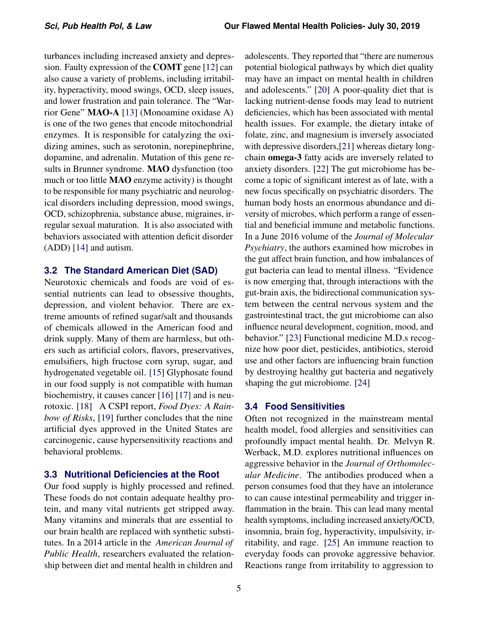turbances including increased anxiety and depression. Faulty expression of the COMT gene [\[12\]](#page-6-4) can also cause a variety of problems, including irritability, hyperactivity, mood swings, OCD, sleep issues, and lower frustration and pain tolerance. The "Warrior Gene" MAO-A [\[13\]](#page-6-5) (Monoamine oxidase A) is one of the two genes that encode mitochondrial enzymes. It is responsible for catalyzing the oxidizing amines, such as serotonin, norepinephrine, dopamine, and adrenalin. Mutation of this gene results in Brunner syndrome. MAO dysfunction (too much or too little MAO enzyme activity) is thought to be responsible for many psychiatric and neurological disorders including depression, mood swings, OCD, schizophrenia, substance abuse, migraines, irregular sexual maturation. It is also associated with behaviors associated with attention deficit disorder (ADD) [\[14\]](#page-6-6) and autism.

#### <span id="page-2-0"></span>**3.2 The Standard American Diet (SAD)**

Neurotoxic chemicals and foods are void of essential nutrients can lead to obsessive thoughts, depression, and violent behavior. There are extreme amounts of refined sugar/salt and thousands of chemicals allowed in the American food and drink supply. Many of them are harmless, but others such as artificial colors, flavors, preservatives, emulsifiers, high fructose corn syrup, sugar, and hydrogenated vegetable oil. [\[15\]](#page-6-7) Glyphosate found in our food supply is not compatible with human biochemistry, it causes cancer [\[16\]](#page-6-8) [\[17\]](#page-6-9) and is neurotoxic. [\[18\]](#page-6-10) A CSPI report, *Food Dyes: A Rainbow of Risks*, [\[19\]](#page-6-11) further concludes that the nine artificial dyes approved in the United States are carcinogenic, cause hypersensitivity reactions and behavioral problems.

#### <span id="page-2-1"></span>**3.3 Nutritional Deficiencies at the Root**

Our food supply is highly processed and refined. These foods do not contain adequate healthy protein, and many vital nutrients get stripped away. Many vitamins and minerals that are essential to our brain health are replaced with synthetic substitutes. In a 2014 article in the *American Journal of Public Health*, researchers evaluated the relationship between diet and mental health in children and

adolescents. They reported that "there are numerous potential biological pathways by which diet quality may have an impact on mental health in children and adolescents." [\[20\]](#page-6-12) A poor-quality diet that is lacking nutrient-dense foods may lead to nutrient deficiencies, which has been associated with mental health issues. For example, the dietary intake of folate, zinc, and magnesium is inversely associated with depressive disorders,[\[21\]](#page-6-13) whereas dietary longchain **omega-3** fatty acids are inversely related to anxiety disorders. [\[22\]](#page-6-14) The gut microbiome has become a topic of significant interest as of late, with a new focus specifically on psychiatric disorders. The human body hosts an enormous abundance and diversity of microbes, which perform a range of essential and beneficial immune and metabolic functions. In a June 2016 volume of the *Journal of Molecular Psychiatry*, the authors examined how microbes in the gut affect brain function, and how imbalances of gut bacteria can lead to mental illness. "Evidence is now emerging that, through interactions with the gut-brain axis, the bidirectional communication system between the central nervous system and the gastrointestinal tract, the gut microbiome can also influence neural development, cognition, mood, and behavior." [\[23\]](#page-6-15) Functional medicine M.D.s recognize how poor diet, pesticides, antibiotics, steroid use and other factors are influencing brain function by destroying healthy gut bacteria and negatively shaping the gut microbiome. [\[24\]](#page-6-16)

#### <span id="page-2-2"></span>**3.4 Food Sensitivities**

Often not recognized in the mainstream mental health model, food allergies and sensitivities can profoundly impact mental health. Dr. Melvyn R. Werback, M.D. explores nutritional influences on aggressive behavior in the *Journal of Orthomolecular Medicine*. The antibodies produced when a person consumes food that they have an intolerance to can cause intestinal permeability and trigger inflammation in the brain. This can lead many mental health symptoms, including increased anxiety/OCD, insomnia, brain fog, hyperactivity, impulsivity, irritability, and rage. [\[25\]](#page-6-17) An immune reaction to everyday foods can provoke aggressive behavior. Reactions range from irritability to aggression to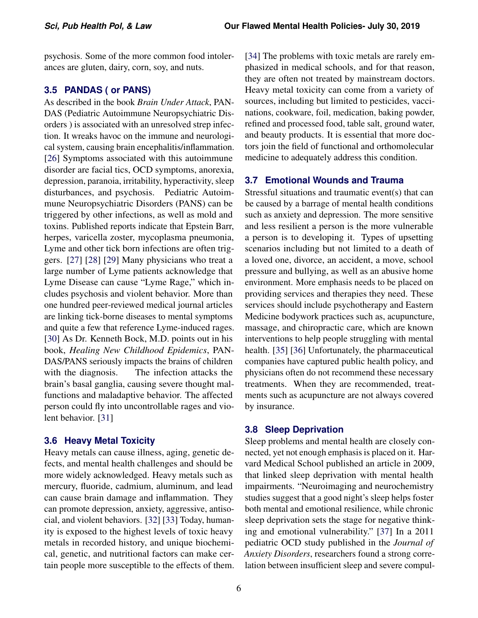psychosis. Some of the more common food intolerances are gluten, dairy, corn, soy, and nuts.

#### <span id="page-3-0"></span>**3.5 PANDAS ( or PANS)**

As described in the book *Brain Under Attack*, PAN-DAS (Pediatric Autoimmune Neuropsychiatric Disorders ) is associated with an unresolved strep infection. It wreaks havoc on the immune and neurological system, causing brain encephalitis/inflammation. [\[26\]](#page-6-18) Symptoms associated with this autoimmune disorder are facial tics, OCD symptoms, anorexia, depression, paranoia, irritability, hyperactivity, sleep disturbances, and psychosis. Pediatric Autoimmune Neuropsychiatric Disorders (PANS) can be triggered by other infections, as well as mold and toxins. Published reports indicate that Epstein Barr, herpes, varicella zoster, mycoplasma pneumonia, Lyme and other tick born infections are often triggers. [\[27\]](#page-6-19) [\[28\]](#page-7-0) [\[29\]](#page-7-1) Many physicians who treat a large number of Lyme patients acknowledge that Lyme Disease can cause "Lyme Rage," which includes psychosis and violent behavior. More than one hundred peer-reviewed medical journal articles are linking tick-borne diseases to mental symptoms and quite a few that reference Lyme-induced rages. [\[30\]](#page-7-2) As Dr. Kenneth Bock, M.D. points out in his book, *Healing New Childhood Epidemics*, PAN-DAS/PANS seriously impacts the brains of children with the diagnosis. The infection attacks the brain's basal ganglia, causing severe thought malfunctions and maladaptive behavior. The affected person could fly into uncontrollable rages and violent behavior. [\[31\]](#page-7-3)

#### <span id="page-3-1"></span>**3.6 Heavy Metal Toxicity**

Heavy metals can cause illness, aging, genetic defects, and mental health challenges and should be more widely acknowledged. Heavy metals such as mercury, fluoride, cadmium, aluminum, and lead can cause brain damage and inflammation. They can promote depression, anxiety, aggressive, antisocial, and violent behaviors. [\[32\]](#page-7-4) [\[33\]](#page-7-5) Today, humanity is exposed to the highest levels of toxic heavy metals in recorded history, and unique biochemical, genetic, and nutritional factors can make certain people more susceptible to the effects of them. [\[34\]](#page-7-6) The problems with toxic metals are rarely emphasized in medical schools, and for that reason, they are often not treated by mainstream doctors. Heavy metal toxicity can come from a variety of sources, including but limited to pesticides, vaccinations, cookware, foil, medication, baking powder, refined and processed food, table salt, ground water, and beauty products. It is essential that more doctors join the field of functional and orthomolecular medicine to adequately address this condition.

### <span id="page-3-2"></span>**3.7 Emotional Wounds and Trauma**

Stressful situations and traumatic event(s) that can be caused by a barrage of mental health conditions such as anxiety and depression. The more sensitive and less resilient a person is the more vulnerable a person is to developing it. Types of upsetting scenarios including but not limited to a death of a loved one, divorce, an accident, a move, school pressure and bullying, as well as an abusive home environment. More emphasis needs to be placed on providing services and therapies they need. These services should include psychotherapy and Eastern Medicine bodywork practices such as, acupuncture, massage, and chiropractic care, which are known interventions to help people struggling with mental health. [\[35\]](#page-7-7) [\[36\]](#page-7-8) Unfortunately, the pharmaceutical companies have captured public health policy, and physicians often do not recommend these necessary treatments. When they are recommended, treatments such as acupuncture are not always covered by insurance.

#### <span id="page-3-3"></span>**3.8 Sleep Deprivation**

Sleep problems and mental health are closely connected, yet not enough emphasis is placed on it. Harvard Medical School published an article in 2009, that linked sleep deprivation with mental health impairments. "Neuroimaging and neurochemistry studies suggest that a good night's sleep helps foster both mental and emotional resilience, while chronic sleep deprivation sets the stage for negative thinking and emotional vulnerability." [\[37\]](#page-7-9) In a 2011 pediatric OCD study published in the *Journal of Anxiety Disorders*, researchers found a strong correlation between insufficient sleep and severe compul-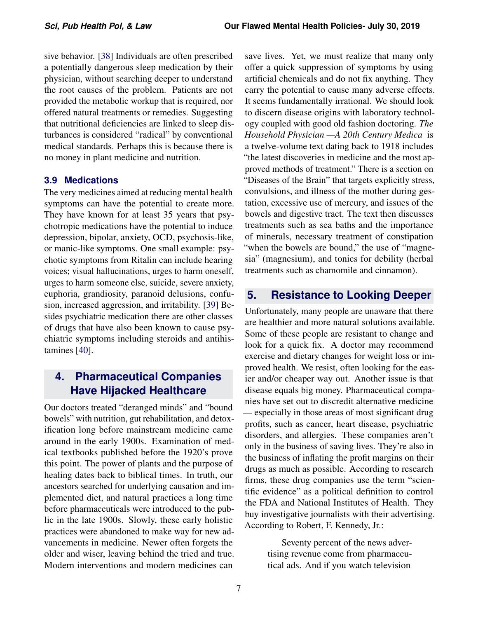sive behavior. [\[38\]](#page-7-10) Individuals are often prescribed a potentially dangerous sleep medication by their physician, without searching deeper to understand the root causes of the problem. Patients are not provided the metabolic workup that is required, nor offered natural treatments or remedies. Suggesting that nutritional deficiencies are linked to sleep disturbances is considered "radical" by conventional medical standards. Perhaps this is because there is no money in plant medicine and nutrition.

### <span id="page-4-0"></span>**3.9 Medications**

The very medicines aimed at reducing mental health symptoms can have the potential to create more. They have known for at least 35 years that psychotropic medications have the potential to induce depression, bipolar, anxiety, OCD, psychosis-like, or manic-like symptoms. One small example: psychotic symptoms from Ritalin can include hearing voices; visual hallucinations, urges to harm oneself, urges to harm someone else, suicide, severe anxiety, euphoria, grandiosity, paranoid delusions, confusion, increased aggression, and irritability. [\[39\]](#page-7-11) Besides psychiatric medication there are other classes of drugs that have also been known to cause psychiatric symptoms including steroids and antihistamines [\[40\]](#page-7-12).

# <span id="page-4-1"></span>**4. Pharmaceutical Companies Have Hijacked Healthcare**

Our doctors treated "deranged minds" and "bound bowels" with nutrition, gut rehabilitation, and detoxification long before mainstream medicine came around in the early 1900s. Examination of medical textbooks published before the 1920's prove this point. The power of plants and the purpose of healing dates back to biblical times. In truth, our ancestors searched for underlying causation and implemented diet, and natural practices a long time before pharmaceuticals were introduced to the public in the late 1900s. Slowly, these early holistic practices were abandoned to make way for new advancements in medicine. Newer often forgets the older and wiser, leaving behind the tried and true. Modern interventions and modern medicines can

save lives. Yet, we must realize that many only offer a quick suppression of symptoms by using artificial chemicals and do not fix anything. They carry the potential to cause many adverse effects. It seems fundamentally irrational. We should look to discern disease origins with laboratory technology coupled with good old fashion doctoring. *The Household Physician —A 20th Century Medica* is a twelve-volume text dating back to 1918 includes "the latest discoveries in medicine and the most approved methods of treatment." There is a section on "Diseases of the Brain" that targets explicitly stress, convulsions, and illness of the mother during gestation, excessive use of mercury, and issues of the bowels and digestive tract. The text then discusses treatments such as sea baths and the importance of minerals, necessary treatment of constipation "when the bowels are bound," the use of "magnesia" (magnesium), and tonics for debility (herbal treatments such as chamomile and cinnamon).

# <span id="page-4-2"></span>**5. Resistance to Looking Deeper**

Unfortunately, many people are unaware that there are healthier and more natural solutions available. Some of these people are resistant to change and look for a quick fix. A doctor may recommend exercise and dietary changes for weight loss or improved health. We resist, often looking for the easier and/or cheaper way out. Another issue is that disease equals big money. Pharmaceutical companies have set out to discredit alternative medicine — especially in those areas of most significant drug profits, such as cancer, heart disease, psychiatric disorders, and allergies. These companies aren't only in the business of saving lives. They're also in the business of inflating the profit margins on their drugs as much as possible. According to research firms, these drug companies use the term "scientific evidence" as a political definition to control the FDA and National Institutes of Health. They buy investigative journalists with their advertising. According to Robert, F. Kennedy, Jr.:

> Seventy percent of the news advertising revenue come from pharmaceutical ads. And if you watch television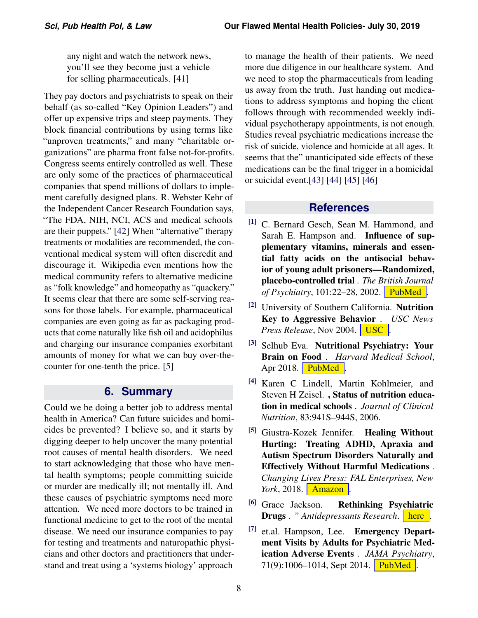any night and watch the network news, you'll see they become just a vehicle for selling pharmaceuticals. [\[41\]](#page-7-13)

They pay doctors and psychiatrists to speak on their behalf (as so-called "Key Opinion Leaders") and offer up expensive trips and steep payments. They block financial contributions by using terms like "unproven treatments," and many "charitable organizations" are pharma front false not-for-profits. Congress seems entirely controlled as well. These are only some of the practices of pharmaceutical companies that spend millions of dollars to implement carefully designed plans. R. Webster Kehr of the Independent Cancer Research Foundation says, "The FDA, NIH, NCI, ACS and medical schools are their puppets." [\[42\]](#page-7-14) When "alternative" therapy treatments or modalities are recommended, the conventional medical system will often discredit and discourage it. Wikipedia even mentions how the medical community refers to alternative medicine as "folk knowledge" and homeopathy as "quackery." It seems clear that there are some self-serving reasons for those labels. For example, pharmaceutical companies are even going as far as packaging products that come naturally like fish oil and acidophilus and charging our insurance companies exorbitant amounts of money for what we can buy over-thecounter for one-tenth the price. [\[5\]](#page-5-4)

### **6. Summary**

<span id="page-5-7"></span>Could we be doing a better job to address mental health in America? Can future suicides and homicides be prevented? I believe so, and it starts by digging deeper to help uncover the many potential root causes of mental health disorders. We need to start acknowledging that those who have mental health symptoms; people committing suicide or murder are medically ill; not mentally ill. And these causes of psychiatric symptoms need more attention. We need more doctors to be trained in functional medicine to get to the root of the mental disease. We need our insurance companies to pay for testing and treatments and naturopathic physicians and other doctors and practitioners that understand and treat using a 'systems biology' approach

to manage the health of their patients. We need more due diligence in our healthcare system. And we need to stop the pharmaceuticals from leading us away from the truth. Just handing out medications to address symptoms and hoping the client follows through with recommended weekly individual psychotherapy appointments, is not enough. Studies reveal psychiatric medications increase the risk of suicide, violence and homicide at all ages. It seems that the" unanticipated side effects of these medications can be the final trigger in a homicidal or suicidal event.[\[43\]](#page-7-15) [\[44\]](#page-7-16) [\[45\]](#page-7-17) [\[46\]](#page-7-18)

## **References**

- <span id="page-5-0"></span>[1] C. Bernard Gesch, Sean M. Hammond, and Sarah E. Hampson and. Influence of supplementary vitamins, minerals and essential fatty acids on the antisocial behavior of young adult prisoners—Randomized, placebo-controlled trial . *The British Journal of Psychiatry*, 101:22–28, 2002. [PubMed]( https://www.ncbi.nlm.nih.gov/pubmed/12091259 ) .
- <span id="page-5-1"></span>[2] University of Southern California. Nutrition Key to Aggressive Behavior . *USC News Press Release*, Nov 2004. [USC]( https://news.usc.edu/24161/Nutrition-Key-to-Aggressive-Behavior/ ).
- <span id="page-5-2"></span>[3] Selhub Eva. Nutritional Psychiatry: Your Brain on Food . *Harvard Medical School*, Apr 2018. [PubMed]( https://www.health.harvard.edu/blog/nutritional-psychiatry-your-brain-on-food-201511168626 )  $\blacksquare$
- <span id="page-5-3"></span>[4] Karen C Lindell, Martin Kohlmeier, and Steven H Zeisel. , Status of nutrition education in medical schools . *Journal of Clinical Nutrition*, 83:941S–944S, 2006.
- <span id="page-5-4"></span>[5] Giustra-Kozek Jennifer. Healing Without Hurting: Treating ADHD, Apraxia and Autism Spectrum Disorders Naturally and Effectively Without Harmful Medications . *Changing Lives Press: FAL Enterprises, New York*, 2018. **[Amazon](https://www.amazon.com/gp/product/0989452980/ref=as_li_tl?ie=UTF8&camp=1789&creative=9325&creativeASIN=0989452980&linkCode=as2&tag=healingwit0ca-20&linkId=02179fd87c847db6af7fb005c615b78a )**.
- <span id="page-5-5"></span><sup>[6]</sup> Grace Jackson. **Rethinking Psychiatric Drugs** . " Antidepressants Research. [here]( https://books.google.com/books/about/Rethinking_Psychiatric_Drugs.html?id=6xHsrPrIOzcC) .
- <span id="page-5-6"></span>[7] et.al. Hampson, Lee. Emergency Department Visits by Adults for Psychiatric Medication Adverse Events . *JAMA Psychiatry*, 71(9):1006–1014, Sept 2014. [PubMed]( https://jamanetwork.com/journals/jamapsychiatry/fullarticle/1885708 ) .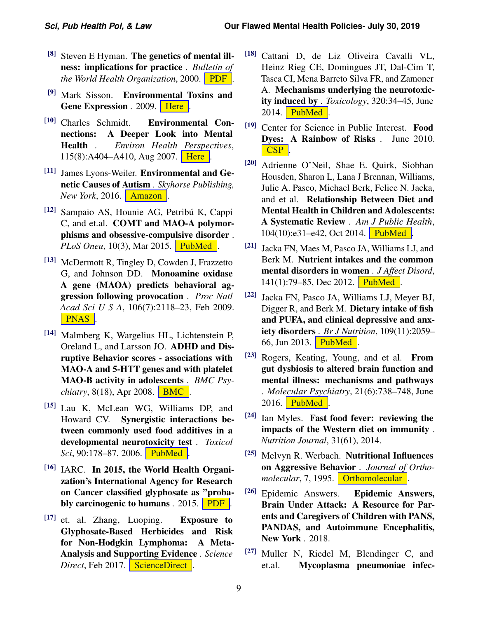- <span id="page-6-0"></span> $[8]$  Steven E Hyman. The genetics of mental illness: implications for practice . *Bulletin of the World Health Organization*, 2000. **[PDF]( https://www.who.int/bulletin/archives/78(4)455.pdf )**.
- <span id="page-6-1"></span>[9] Mark Sisson. Environmental Toxins and Gene Expression . 2009. [Here]( https://www.marksdailyapple.com/environmental-toxins-and-gene-expression/ ) .
- <span id="page-6-2"></span>[10] Charles Schmidt. Environmental Connections: A Deeper Look into Mental Health . *Environ Health Perspectives*, 115(8):A404–A410, Aug 2007. **[Here]( https://www.ncbi.nlm.nih.gov/pmc/articles/PMC1940091/)** .
- <span id="page-6-3"></span>[11] James Lyons-Weiler. Environmental and Genetic Causes of Autism . *Skyhorse Publishing, New York*, 2016. **[Amazon]( https://www.amazon.com/Environmental-Genetic-Causes-Autism/dp/1510710868 )**.
- <span id="page-6-4"></span><sup>[12]</sup> Sampaio AS, Hounie AG, Petribú K, Cappi C, and et.al. COMT and MAO-A polymorphisms and obsessive-compulsive disorder . *PLoS Oneu*, 10(3), Mar 2015. [PubMed]( https://www.ncbi.nlm.nih.gov/pubmed/25793616 ) .
- <span id="page-6-5"></span>[13] McDermott R, Tingley D, Cowden J, Frazzetto G, and Johnson DD. Monoamine oxidase A gene (MAOA) predicts behavioral aggression following provocation . *Proc Natl Acad Sci U S A*, 106(7):2118–23, Feb 2009. [PNAS]( https://www.pnas.org/content/106/7/2118 ) .
- <span id="page-6-6"></span>[14] Malmberg K, Wargelius HL, Lichtenstein P, Oreland L, and Larsson JO. ADHD and Disruptive Behavior scores - associations with MAO-A and 5-HTT genes and with platelet MAO-B activity in adolescents . *BMC Psychiatry*, 8(18), Apr 2008. **[BMC]( https://bmcpsychiatry.biomedcentral.com/articles/10.1186/1471-244X-8-28 )**.
- <span id="page-6-7"></span>[15] Lau K, McLean WG, Williams DP, and Howard CV. Synergistic interactions between commonly used food additives in a developmental neurotoxicity test . *Toxicol Sci*, 90:178–87, 2006. [PubMed]( https://www.ncbi.nlm.nih.gov/pubmed/16352620) .
- <span id="page-6-8"></span> $[16]$  IARC. In 2015, the World Health Organization's International Agency for Research on Cancer classified glyphosate as "probably carcinogenic to humans . 2015. **[PDF]( https://www.iarc.fr/wp-content/uploads/2018/07/MonographVolume112-1.pdf )**.
- <span id="page-6-9"></span>[17] et. al. Zhang, Luoping. Exposure to Glyphosate-Based Herbicides and Risk for Non-Hodgkin Lymphoma: A Meta-Analysis and Supporting Evidence . *Science Direct*, Feb 2017. [ScienceDirect]( https://www.sciencedirect.com/science/article/pii/S1383574218300887 ).
- <span id="page-6-10"></span>[18] Cattani D, de Liz Oliveira Cavalli VL, Heinz Rieg CE, Domingues JT, Dal-Cim T, Tasca CI, Mena Barreto Silva FR, and Zamoner A. Mechanisms underlying the neurotoxicity induced by . *Toxicology*, 320:34–45, June 2014. **[PubMed]( https://www.ncbi.nlm.nih.gov/pubmed/24636977 )** .
- <span id="page-6-11"></span>[19] Center for Science in Public Interest. Food Dyes: A Rainbow of Risks . June 2010. [CSP](https://cspinet.org/resource/food-dyes-rainbow-risks ).
- <span id="page-6-12"></span>[20] Adrienne O'Neil, Shae E. Quirk, Siobhan Housden, Sharon L, Lana J Brennan, Williams, Julie A. Pasco, Michael Berk, Felice N. Jacka, and et al. Relationship Between Diet and Mental Health in Children and Adolescents: A Systematic Review . *Am J Public Health*, 104(10):e31-e42, Oct 2014. [PubMed]( https://www.ncbi.nlm.nih.gov/pmc/articles/PMC4167107/ ) .
- <span id="page-6-13"></span>[21] Jacka FN, Maes M, Pasco JA, Williams LJ, and Berk M. Nutrient intakes and the common mental disorders in women . *J Affect Disord*,  $141(1)$ :79–85, Dec 2012. [PubMed]( https://www.ncbi.nlm.nih.gov/pubmed/22397891 ) .
- <span id="page-6-14"></span>[22] Jacka FN, Pasco JA, Williams LJ, Meyer BJ, Digger R, and Berk M. Dietary intake of fish and PUFA, and clinical depressive and anxiety disorders . *Br J Nutrition*, 109(11):2059– 66, Jun 2013. **[PubMed]( https://www.ncbi.nlm.nih.gov/pubmed/23051591 )** .
- <span id="page-6-15"></span>[23] Rogers, Keating, Young, and et al. From gut dysbiosis to altered brain function and mental illness: mechanisms and pathways . *Molecular Psychiatry*, 21(6):738–748, June 2016. **[PubMed]( https://www.ncbi.nlm.nih.gov/pubmed/27090305)** .
- <span id="page-6-16"></span> $[24]$  Ian Myles. Fast food fever: reviewing the impacts of the Western diet on immunity . *Nutrition Journal*, 31(61), 2014.
- <span id="page-6-17"></span>[25] Melvyn R. Werbach. Nutritional Influences on Aggressive Behavior . *Journal of Orthomolecular*, 7, 1995. **[Orthomolecular]( http://orthomolecular.org/library/articles/webach.shtml)**.
- <span id="page-6-18"></span>[26] Epidemic Answers. Epidemic Answers, Brain Under Attack: A Resource for Parents and Caregivers of Children with PANS, PANDAS, and Autoimmune Encephalitis, New York . 2018.
- <span id="page-6-19"></span>[27] Muller N, Riedel M, Blendinger C, and et.al. Mycoplasma pneumoniae infec-